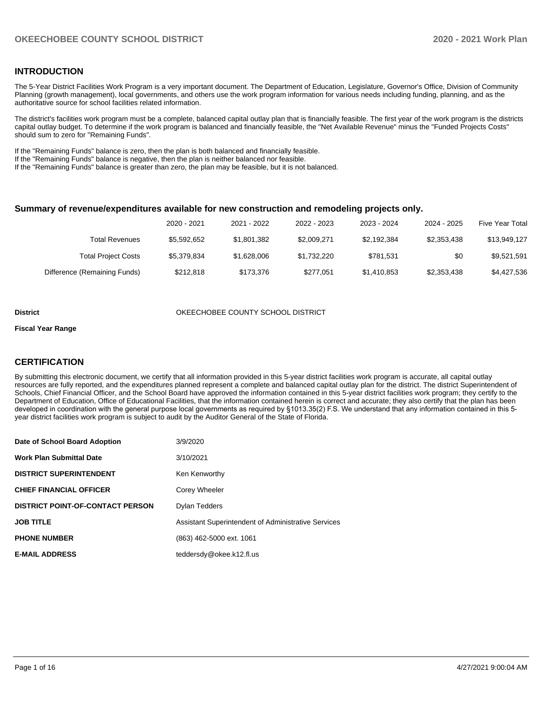#### **INTRODUCTION**

The 5-Year District Facilities Work Program is a very important document. The Department of Education, Legislature, Governor's Office, Division of Community Planning (growth management), local governments, and others use the work program information for various needs including funding, planning, and as the authoritative source for school facilities related information.

The district's facilities work program must be a complete, balanced capital outlay plan that is financially feasible. The first year of the work program is the districts capital outlay budget. To determine if the work program is balanced and financially feasible, the "Net Available Revenue" minus the "Funded Projects Costs" should sum to zero for "Remaining Funds".

If the "Remaining Funds" balance is zero, then the plan is both balanced and financially feasible.

If the "Remaining Funds" balance is negative, then the plan is neither balanced nor feasible.

If the "Remaining Funds" balance is greater than zero, the plan may be feasible, but it is not balanced.

#### **Summary of revenue/expenditures available for new construction and remodeling projects only.**

| Five Year Total | 2024 - 2025 | 2023 - 2024 | 2022 - 2023 | 2021 - 2022 | 2020 - 2021 |                              |
|-----------------|-------------|-------------|-------------|-------------|-------------|------------------------------|
| \$13,949,127    | \$2,353,438 | \$2,192,384 | \$2,009,271 | \$1.801.382 | \$5.592.652 | Total Revenues               |
| \$9,521,591     | \$0         | \$781.531   | \$1.732.220 | \$1.628,006 | \$5.379.834 | <b>Total Project Costs</b>   |
| \$4,427,536     | \$2,353,438 | \$1,410,853 | \$277.051   | \$173,376   | \$212.818   | Difference (Remaining Funds) |

#### **District COUNTY SCHOOL DISTRICT** OKEECHOBEE COUNTY SCHOOL DISTRICT

#### **Fiscal Year Range**

#### **CERTIFICATION**

By submitting this electronic document, we certify that all information provided in this 5-year district facilities work program is accurate, all capital outlay resources are fully reported, and the expenditures planned represent a complete and balanced capital outlay plan for the district. The district Superintendent of Schools, Chief Financial Officer, and the School Board have approved the information contained in this 5-year district facilities work program; they certify to the Department of Education, Office of Educational Facilities, that the information contained herein is correct and accurate; they also certify that the plan has been developed in coordination with the general purpose local governments as required by §1013.35(2) F.S. We understand that any information contained in this 5 year district facilities work program is subject to audit by the Auditor General of the State of Florida.

| Date of School Board Adoption           | 3/9/2020                                            |
|-----------------------------------------|-----------------------------------------------------|
| <b>Work Plan Submittal Date</b>         | 3/10/2021                                           |
| <b>DISTRICT SUPERINTENDENT</b>          | Ken Kenworthy                                       |
| <b>CHIEF FINANCIAL OFFICER</b>          | Corey Wheeler                                       |
| <b>DISTRICT POINT-OF-CONTACT PERSON</b> | <b>Dylan Tedders</b>                                |
| <b>JOB TITLE</b>                        | Assistant Superintendent of Administrative Services |
| <b>PHONE NUMBER</b>                     | (863) 462-5000 ext. 1061                            |
| <b>E-MAIL ADDRESS</b>                   | teddersdy@okee.k12.fl.us                            |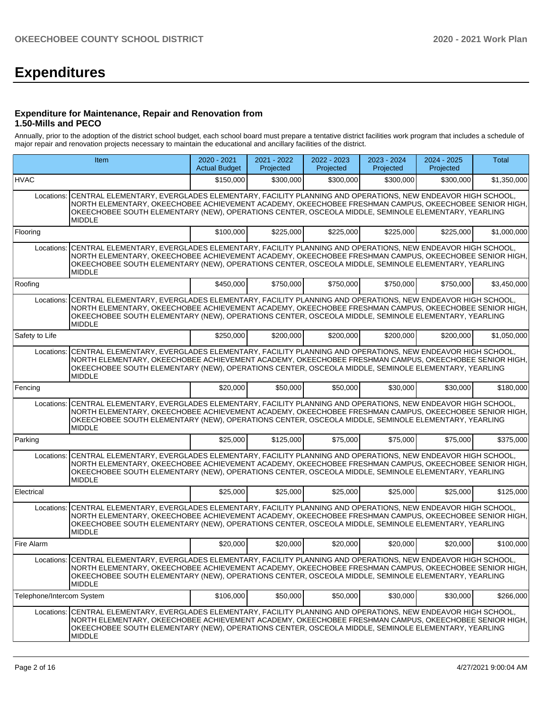# **Expenditures**

#### **Expenditure for Maintenance, Repair and Renovation from 1.50-Mills and PECO**

Annually, prior to the adoption of the district school budget, each school board must prepare a tentative district facilities work program that includes a schedule of major repair and renovation projects necessary to maintain the educational and ancillary facilities of the district.

|                           | <b>Item</b>                                                                                                                                                                                                                                                                                                                                          |           | 2021 - 2022<br>Projected | 2022 - 2023<br>Projected | 2023 - 2024<br>Projected | 2024 - 2025<br>Projected | Total       |
|---------------------------|------------------------------------------------------------------------------------------------------------------------------------------------------------------------------------------------------------------------------------------------------------------------------------------------------------------------------------------------------|-----------|--------------------------|--------------------------|--------------------------|--------------------------|-------------|
| <b>HVAC</b>               |                                                                                                                                                                                                                                                                                                                                                      | \$150,000 | \$300,000                | \$300,000                | \$300.000                | \$300,000                | \$1,350,000 |
|                           | Locations: CENTRAL ELEMENTARY, EVERGLADES ELEMENTARY, FACILITY PLANNING AND OPERATIONS, NEW ENDEAVOR HIGH SCHOOL,<br>NORTH ELEMENTARY, OKEECHOBEE ACHIEVEMENT ACADEMY, OKEECHOBEE FRESHMAN CAMPUS, OKEECHOBEE SENIOR HIGH,<br>OKEECHOBEE SOUTH ELEMENTARY (NEW), OPERATIONS CENTER, OSCEOLA MIDDLE, SEMINOLE ELEMENTARY, YEARLING<br><b>MIDDLE</b>   |           |                          |                          |                          |                          |             |
| Flooring                  |                                                                                                                                                                                                                                                                                                                                                      | \$100,000 | \$225,000                | \$225,000                | \$225,000                | \$225,000                | \$1,000,000 |
| Locations:                | CENTRAL ELEMENTARY, EVERGLADES ELEMENTARY, FACILITY PLANNING AND OPERATIONS, NEW ENDEAVOR HIGH SCHOOL,<br>NORTH ELEMENTARY, OKEECHOBEE ACHIEVEMENT ACADEMY, OKEECHOBEE FRESHMAN CAMPUS, OKEECHOBEE SENIOR HIGH,<br>OKEECHOBEE SOUTH ELEMENTARY (NEW), OPERATIONS CENTER, OSCEOLA MIDDLE, SEMINOLE ELEMENTARY, YEARLING<br><b>MIDDLE</b>              |           |                          |                          |                          |                          |             |
| Roofing                   |                                                                                                                                                                                                                                                                                                                                                      | \$450,000 | \$750,000                | \$750,000                | \$750,000                | \$750,000                | \$3,450,000 |
|                           | Locations: CENTRAL ELEMENTARY, EVERGLADES ELEMENTARY, FACILITY PLANNING AND OPERATIONS, NEW ENDEAVOR HIGH SCHOOL,<br>NORTH ELEMENTARY, OKEECHOBEE ACHIEVEMENT ACADEMY, OKEECHOBEE FRESHMAN CAMPUS, OKEECHOBEE SENIOR HIGH,<br>OKEECHOBEE SOUTH ELEMENTARY (NEW), OPERATIONS CENTER, OSCEOLA MIDDLE, SEMINOLE ELEMENTARY, YEARLING<br><b>MIDDLE</b>   |           |                          |                          |                          |                          |             |
| Safety to Life            |                                                                                                                                                                                                                                                                                                                                                      | \$250,000 | \$200,000                | \$200,000                | \$200,000                | \$200,000                | \$1,050,000 |
|                           | Locations: CENTRAL ELEMENTARY, EVERGLADES ELEMENTARY, FACILITY PLANNING AND OPERATIONS, NEW ENDEAVOR HIGH SCHOOL,<br>NORTH ELEMENTARY, OKEECHOBEE ACHIEVEMENT ACADEMY, OKEECHOBEE FRESHMAN CAMPUS, OKEECHOBEE SENIOR HIGH,<br>OKEECHOBEE SOUTH ELEMENTARY (NEW), OPERATIONS CENTER, OSCEOLA MIDDLE, SEMINOLE ELEMENTARY, YEARLING<br><b>MIDDLE</b>   |           |                          |                          |                          |                          |             |
| Fencing                   |                                                                                                                                                                                                                                                                                                                                                      | \$20,000  | \$50,000                 | \$50,000                 | \$30,000                 | \$30,000                 | \$180,000   |
| Locations:                | CENTRAL ELEMENTARY, EVERGLADES ELEMENTARY, FACILITY PLANNING AND OPERATIONS, NEW ENDEAVOR HIGH SCHOOL,<br>NORTH ELEMENTARY, OKEECHOBEE ACHIEVEMENT ACADEMY, OKEECHOBEE FRESHMAN CAMPUS, OKEECHOBEE SENIOR HIGH,<br>OKEECHOBEE SOUTH ELEMENTARY (NEW), OPERATIONS CENTER, OSCEOLA MIDDLE, SEMINOLE ELEMENTARY, YEARLING<br><b>MIDDLE</b>              |           |                          |                          |                          |                          |             |
| Parking                   |                                                                                                                                                                                                                                                                                                                                                      | \$25,000  | \$125,000                | \$75,000                 | \$75,000                 | \$75,000                 | \$375,000   |
|                           | Locations: CENTRAL ELEMENTARY, EVERGLADES ELEMENTARY, FACILITY PLANNING AND OPERATIONS, NEW ENDEAVOR HIGH SCHOOL,<br>NORTH ELEMENTARY, OKEECHOBEE ACHIEVEMENT ACADEMY, OKEECHOBEE FRESHMAN CAMPUS, OKEECHOBEE SENIOR HIGH,<br>OKEECHOBEE SOUTH ELEMENTARY (NEW), OPERATIONS CENTER, OSCEOLA MIDDLE, SEMINOLE ELEMENTARY, YEARLING<br><b>MIDDLE</b>   |           |                          |                          |                          |                          |             |
| Electrical                |                                                                                                                                                                                                                                                                                                                                                      | \$25,000  | \$25,000                 | \$25,000                 | \$25,000                 | \$25,000                 | \$125,000   |
|                           | Locations: CENTRAL ELEMENTARY, EVERGLADES ELEMENTARY, FACILITY PLANNING AND OPERATIONS, NEW ENDEAVOR HIGH SCHOOL,<br>NORTH ELEMENTARY, OKEECHOBEE ACHIEVEMENT ACADEMY, OKEECHOBEE FRESHMAN CAMPUS, OKEECHOBEE SENIOR HIGH,<br>OKEECHOBEE SOUTH ELEMENTARY (NEW), OPERATIONS CENTER, OSCEOLA MIDDLE, SEMINOLE ELEMENTARY, YEARLING<br><b>MIDDLE</b>   |           |                          |                          |                          |                          |             |
| Fire Alarm                |                                                                                                                                                                                                                                                                                                                                                      | \$20,000  | \$20,000                 | \$20,000                 | \$20,000                 | \$20,000                 | \$100,000   |
|                           | Locations: CENTRAL ELEMENTARY, EVERGLADES ELEMENTARY, FACILITY PLANNING AND OPERATIONS, NEW ENDEAVOR HIGH SCHOOL,<br>NORTH ELEMENTARY, OKEECHOBEE ACHIEVEMENT ACADEMY, OKEECHOBEE FRESHMAN CAMPUS, OKEECHOBEE SENIOR HIGH,<br>OKEECHOBEE SOUTH ELEMENTARY (NEW), OPERATIONS CENTER, OSCEOLA MIDDLE, SEMINOLE ELEMENTARY, YEARLING<br><b>MIDDLE</b>   |           |                          |                          |                          |                          |             |
| Telephone/Intercom System |                                                                                                                                                                                                                                                                                                                                                      | \$106,000 | \$50,000                 | \$50,000                 | \$30,000                 | \$30,000                 | \$266,000   |
|                           | Locations:   CENTRAL ELEMENTARY, EVERGLADES ELEMENTARY, FACILITY PLANNING AND OPERATIONS, NEW ENDEAVOR HIGH SCHOOL,<br>NORTH ELEMENTARY, OKEECHOBEE ACHIEVEMENT ACADEMY, OKEECHOBEE FRESHMAN CAMPUS, OKEECHOBEE SENIOR HIGH,<br>OKEECHOBEE SOUTH ELEMENTARY (NEW), OPERATIONS CENTER, OSCEOLA MIDDLE, SEMINOLE ELEMENTARY, YEARLING<br><b>MIDDLE</b> |           |                          |                          |                          |                          |             |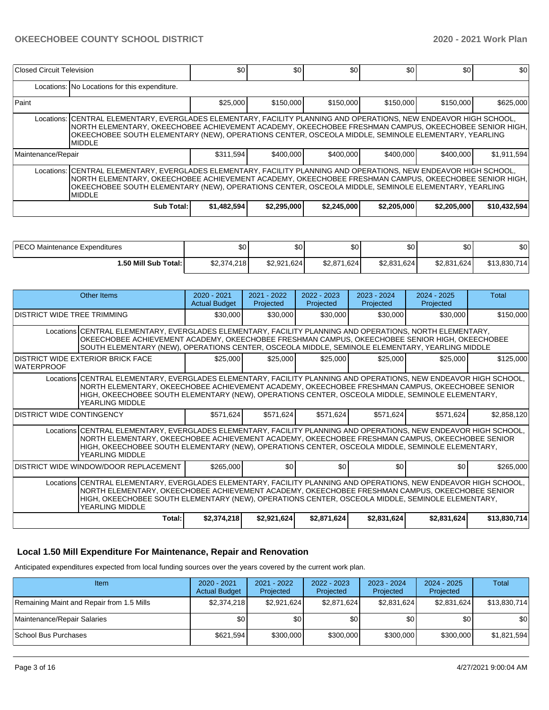| Closed Circuit Television |                                                                                                                                                                                                                                                                                                                                                       | \$0         | \$0         | \$0         | \$0         | \$0         | \$0          |  |  |  |
|---------------------------|-------------------------------------------------------------------------------------------------------------------------------------------------------------------------------------------------------------------------------------------------------------------------------------------------------------------------------------------------------|-------------|-------------|-------------|-------------|-------------|--------------|--|--|--|
|                           | Locations: No Locations for this expenditure.                                                                                                                                                                                                                                                                                                         |             |             |             |             |             |              |  |  |  |
| Paint                     |                                                                                                                                                                                                                                                                                                                                                       | \$25,000    | \$150,000   | \$150,000   | \$150,000   | \$150,000   | \$625,000    |  |  |  |
|                           | Locations: CENTRAL ELEMENTARY, EVERGLADES ELEMENTARY, FACILITY PLANNING AND OPERATIONS, NEW ENDEAVOR HIGH SCHOOL,<br>INORTH ELEMENTARY. OKEECHOBEE ACHIEVEMENT ACADEMY. OKEECHOBEE FRESHMAN CAMPUS. OKEECHOBEE SENIOR HIGH. I<br>OKEECHOBEE SOUTH ELEMENTARY (NEW), OPERATIONS CENTER, OSCEOLA MIDDLE, SEMINOLE ELEMENTARY, YEARLING<br><b>MIDDLE</b> |             |             |             |             |             |              |  |  |  |
| Maintenance/Repair        |                                                                                                                                                                                                                                                                                                                                                       | \$311,594   | \$400,000   | \$400,000   | \$400.000   | \$400,000   | \$1,911,594  |  |  |  |
|                           | Locations: CENTRAL ELEMENTARY, EVERGLADES ELEMENTARY, FACILITY PLANNING AND OPERATIONS, NEW ENDEAVOR HIGH SCHOOL,<br> NORTH ELEMENTARY, OKEECHOBEE ACHIEVEMENT ACADEMY, OKEECHOBEE FRESHMAN CAMPUS, OKEECHOBEE SENIOR HIGH, │<br>OKEECHOBEE SOUTH ELEMENTARY (NEW), OPERATIONS CENTER, OSCEOLA MIDDLE, SEMINOLE ELEMENTARY, YEARLING<br><b>MIDDLE</b> |             |             |             |             |             |              |  |  |  |
|                           | Sub Total:                                                                                                                                                                                                                                                                                                                                            | \$1,482,594 | \$2,295,000 | \$2,245,000 | \$2,205,000 | \$2,205,000 | \$10,432,594 |  |  |  |

| <b>IPECO Maintenance Expenditures</b> | \$01        | \$0         | \$٥١             | ሶሳ<br>υΨ    | ሰሰ<br>υΨ    | \$0          |
|---------------------------------------|-------------|-------------|------------------|-------------|-------------|--------------|
| 1.50 Mill Sub Total: I                | \$2,374,218 | \$2,921,624 | \$2.871<br>1,624 | \$2,831,624 | \$2,831,624 | \$13,830,714 |

|                                  | Other Items                                                                                                                                                                                                                                                                                                                                | $2020 - 2021$<br><b>Actual Budget</b> | $2021 - 2022$<br>Projected | $2022 - 2023$<br>Projected | $2023 - 2024$<br>Projected | $2024 - 2025$<br>Projected | Total        |  |  |  |
|----------------------------------|--------------------------------------------------------------------------------------------------------------------------------------------------------------------------------------------------------------------------------------------------------------------------------------------------------------------------------------------|---------------------------------------|----------------------------|----------------------------|----------------------------|----------------------------|--------------|--|--|--|
| DISTRICT WIDE TREE TRIMMING      |                                                                                                                                                                                                                                                                                                                                            | \$30,000                              | \$30,000                   | \$30,000                   | \$30,000                   | \$30,000                   | \$150,000    |  |  |  |
|                                  | Locations CENTRAL ELEMENTARY, EVERGLADES ELEMENTARY, FACILITY PLANNING AND OPERATIONS, NORTH ELEMENTARY,<br>OKEECHOBEE ACHIEVEMENT ACADEMY, OKEECHOBEE FRESHMAN CAMPUS, OKEECHOBEE SENIOR HIGH, OKEECHOBEE<br>SOUTH ELEMENTARY (NEW), OPERATIONS CENTER, OSCEOLA MIDDLE, SEMINOLE ELEMENTARY, YEARLING MIDDLE                              |                                       |                            |                            |                            |                            |              |  |  |  |
| <b>WATERPROOF</b>                | <b>DISTRICT WIDE EXTERIOR BRICK FACE</b>                                                                                                                                                                                                                                                                                                   | \$25,000                              | \$25,000                   | \$25,000                   | \$25,000                   | \$25,000                   | \$125,000    |  |  |  |
|                                  | Locations CENTRAL ELEMENTARY, EVERGLADES ELEMENTARY, FACILITY PLANNING AND OPERATIONS, NEW ENDEAVOR HIGH SCHOOL,<br>NORTH ELEMENTARY, OKEECHOBEE ACHIEVEMENT ACADEMY, OKEECHOBEE FRESHMAN CAMPUS, OKEECHOBEE SENIOR<br>HIGH, OKEECHOBEE SOUTH ELEMENTARY (NEW), OPERATIONS CENTER, OSCEOLA MIDDLE, SEMINOLE ELEMENTARY,<br>YEARLING MIDDLE |                                       |                            |                            |                            |                            |              |  |  |  |
| <b>DISTRICT WIDE CONTINGENCY</b> |                                                                                                                                                                                                                                                                                                                                            | \$571,624                             | \$571,624                  | \$571,624]                 | \$571,624                  | \$571,624                  | \$2,858,120  |  |  |  |
|                                  | Locations CENTRAL ELEMENTARY, EVERGLADES ELEMENTARY, FACILITY PLANNING AND OPERATIONS, NEW ENDEAVOR HIGH SCHOOL,<br>NORTH ELEMENTARY, OKEECHOBEE ACHIEVEMENT ACADEMY, OKEECHOBEE FRESHMAN CAMPUS, OKEECHOBEE SENIOR<br>HIGH, OKEECHOBEE SOUTH ELEMENTARY (NEW), OPERATIONS CENTER, OSCEOLA MIDDLE, SEMINOLE ELEMENTARY,<br>YEARLING MIDDLE |                                       |                            |                            |                            |                            |              |  |  |  |
|                                  | DISTRICT WIDE WINDOW/DOOR REPLACEMENT                                                                                                                                                                                                                                                                                                      | \$265,000                             | \$0                        | \$0 <sub>1</sub>           | \$0 <sub>1</sub>           | \$0                        | \$265,000    |  |  |  |
|                                  | Locations CENTRAL ELEMENTARY, EVERGLADES ELEMENTARY, FACILITY PLANNING AND OPERATIONS, NEW ENDEAVOR HIGH SCHOOL,<br>NORTH ELEMENTARY, OKEECHOBEE ACHIEVEMENT ACADEMY, OKEECHOBEE FRESHMAN CAMPUS, OKEECHOBEE SENIOR<br>HIGH, OKEECHOBEE SOUTH ELEMENTARY (NEW), OPERATIONS CENTER, OSCEOLA MIDDLE, SEMINOLE ELEMENTARY,<br>YEARLING MIDDLE |                                       |                            |                            |                            |                            |              |  |  |  |
|                                  | Total:                                                                                                                                                                                                                                                                                                                                     | \$2,374,218                           | \$2,921,624                | \$2,871,624                | \$2,831,624                | \$2,831,624                | \$13,830,714 |  |  |  |

## **Local 1.50 Mill Expenditure For Maintenance, Repair and Renovation**

Anticipated expenditures expected from local funding sources over the years covered by the current work plan.

| Item                                      | $2020 - 2021$<br><b>Actual Budget</b> | 2021 - 2022<br>Projected | 2022 - 2023<br>Projected | 2023 - 2024<br>Projected | 2024 - 2025<br>Projected | Total        |
|-------------------------------------------|---------------------------------------|--------------------------|--------------------------|--------------------------|--------------------------|--------------|
| Remaining Maint and Repair from 1.5 Mills | \$2,374,218                           | \$2.921.624              | \$2,871,624              | \$2.831.624              | \$2,831,624              | \$13,830,714 |
| Maintenance/Repair Salaries               | \$0                                   | \$٥١                     | \$0                      | \$0 <sub>1</sub>         | \$0                      | \$0          |
| School Bus Purchases                      | \$621,594                             | \$300,000                | \$300,000                | \$300,000                | \$300,000                | \$1,821,594  |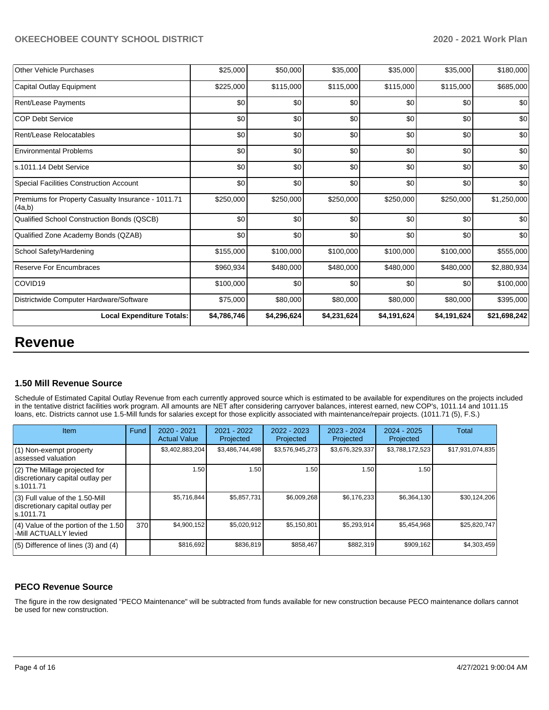| <b>Other Vehicle Purchases</b>                               | \$25,000    | \$50,000    | \$35,000    | \$35,000    | \$35,000    | \$180,000    |
|--------------------------------------------------------------|-------------|-------------|-------------|-------------|-------------|--------------|
| Capital Outlay Equipment                                     | \$225,000   | \$115,000   | \$115,000   | \$115,000   | \$115,000   | \$685,000    |
| Rent/Lease Payments                                          | \$0         | \$0         | \$0         | \$0         | \$0         | \$0          |
| <b>COP Debt Service</b>                                      | \$0         | \$0         | \$0         | \$0         | \$0         | \$0          |
| Rent/Lease Relocatables                                      | \$0         | \$0         | \$0         | \$0         | \$0         | \$0          |
| <b>Environmental Problems</b>                                | \$0         | \$0         | \$0         | \$0         | \$0         | \$0          |
| s.1011.14 Debt Service                                       | \$0         | \$0         | \$0         | \$0         | \$0         | \$0          |
| <b>Special Facilities Construction Account</b>               | \$0         | \$0         | \$0         | \$0         | \$0         | \$0          |
| Premiums for Property Casualty Insurance - 1011.71<br>(4a,b) | \$250,000   | \$250,000   | \$250,000   | \$250,000   | \$250,000   | \$1,250,000  |
| Qualified School Construction Bonds (QSCB)                   | \$0         | \$0         | \$0         | \$0         | \$0         | \$0          |
| Qualified Zone Academy Bonds (QZAB)                          | \$0         | \$0         | \$0         | \$0         | \$0         | \$0          |
| School Safety/Hardening                                      | \$155,000   | \$100,000   | \$100,000   | \$100,000   | \$100,000   | \$555,000    |
| <b>Reserve For Encumbraces</b>                               | \$960,934   | \$480,000   | \$480,000   | \$480,000   | \$480,000   | \$2,880,934  |
| COVID19                                                      | \$100,000   | \$0         | \$0         | \$0         | \$0         | \$100,000    |
| Districtwide Computer Hardware/Software                      | \$75,000    | \$80,000    | \$80,000    | \$80,000    | \$80,000    | \$395,000    |
| <b>Local Expenditure Totals:</b>                             | \$4,786,746 | \$4,296,624 | \$4,231,624 | \$4,191,624 | \$4,191,624 | \$21,698,242 |

# **Revenue**

### **1.50 Mill Revenue Source**

Schedule of Estimated Capital Outlay Revenue from each currently approved source which is estimated to be available for expenditures on the projects included in the tentative district facilities work program. All amounts are NET after considering carryover balances, interest earned, new COP's, 1011.14 and 1011.15 loans, etc. Districts cannot use 1.5-Mill funds for salaries except for those explicitly associated with maintenance/repair projects. (1011.71 (5), F.S.)

| <b>Item</b>                                                                         | Fund | $2020 - 2021$<br><b>Actual Value</b> | $2021 - 2022$<br>Projected | $2022 - 2023$<br>Projected | $2023 - 2024$<br>Projected | $2024 - 2025$<br>Projected | Total            |
|-------------------------------------------------------------------------------------|------|--------------------------------------|----------------------------|----------------------------|----------------------------|----------------------------|------------------|
| (1) Non-exempt property<br>lassessed valuation                                      |      | \$3,402,883,204                      | \$3,486,744,498            | \$3,576,945,273            | \$3,676,329,337            | \$3,788,172,523            | \$17,931,074,835 |
| $(2)$ The Millage projected for<br>discretionary capital outlay per<br>ls.1011.71   |      | 1.50                                 | 1.50                       | 1.50                       | 1.50                       | 1.50                       |                  |
| $(3)$ Full value of the 1.50-Mill<br>discretionary capital outlay per<br>ls.1011.71 |      | \$5,716,844                          | \$5,857,731                | \$6,009,268                | \$6,176,233                | \$6,364,130                | \$30,124,206     |
| $(4)$ Value of the portion of the 1.50<br>-Mill ACTUALLY levied                     | 370  | \$4.900.152                          | \$5,020,912                | \$5,150,801                | \$5,293,914                | \$5,454,968                | \$25,820,747     |
| $(5)$ Difference of lines $(3)$ and $(4)$                                           |      | \$816,692                            | \$836.819                  | \$858.467                  | \$882,319                  | \$909,162                  | \$4,303,459      |

### **PECO Revenue Source**

The figure in the row designated "PECO Maintenance" will be subtracted from funds available for new construction because PECO maintenance dollars cannot be used for new construction.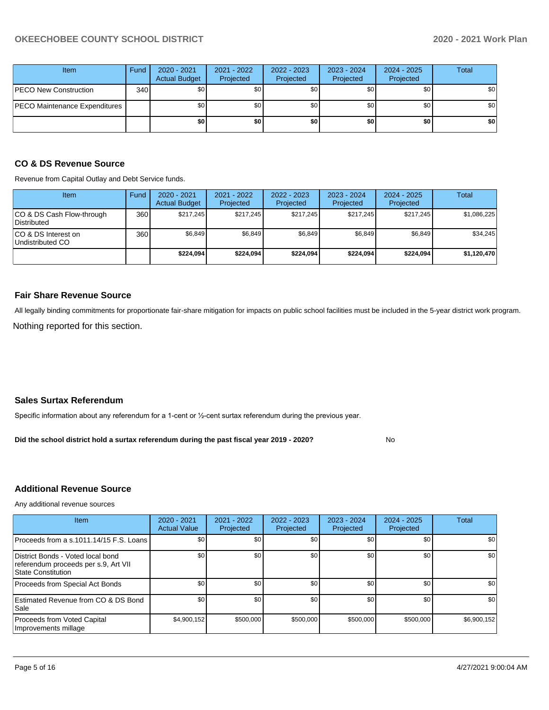| <b>Item</b>                          | Fund | $2020 - 2021$<br><b>Actual Budget</b> | 2021 - 2022<br>Projected | 2022 - 2023<br>Projected | 2023 - 2024<br>Projected | $2024 - 2025$<br>Projected | Total |
|--------------------------------------|------|---------------------------------------|--------------------------|--------------------------|--------------------------|----------------------------|-------|
| <b>PECO New Construction</b>         | 340  | \$0 <sub>1</sub>                      | \$0                      | \$0 <sub>1</sub>         | \$0 <sub>1</sub>         | \$0 <sub>1</sub>           | \$0   |
| <b>PECO Maintenance Expenditures</b> |      | \$0 <sub>1</sub>                      | \$0                      | \$0 <sub>1</sub>         | \$0 <sub>1</sub>         | \$0                        | \$0   |
|                                      |      | \$0                                   | \$0                      | \$0                      | \$0                      | \$0                        | \$0   |

#### **CO & DS Revenue Source**

Revenue from Capital Outlay and Debt Service funds.

| Item                                      | Fund  | $2020 - 2021$<br><b>Actual Budget</b> | 2021 - 2022<br>Projected | 2022 - 2023<br>Projected | $2023 - 2024$<br>Projected | $2024 - 2025$<br>Projected | Total       |
|-------------------------------------------|-------|---------------------------------------|--------------------------|--------------------------|----------------------------|----------------------------|-------------|
| ICO & DS Cash Flow-through<br>Distributed | 360 l | \$217.245                             | \$217.245                | \$217.245                | \$217.245                  | \$217.245                  | \$1,086,225 |
| ICO & DS Interest on<br>Undistributed CO  | 360   | \$6,849                               | \$6,849                  | \$6,849                  | \$6,849                    | \$6,849                    | \$34,245    |
|                                           |       | \$224.094                             | \$224.094                | \$224.094                | \$224.094                  | \$224.094                  | \$1,120,470 |

#### **Fair Share Revenue Source**

Nothing reported for this section. All legally binding commitments for proportionate fair-share mitigation for impacts on public school facilities must be included in the 5-year district work program.

### **Sales Surtax Referendum**

Specific information about any referendum for a 1-cent or ½-cent surtax referendum during the previous year.

No **Did the school district hold a surtax referendum during the past fiscal year 2019 - 2020?**

#### **Additional Revenue Source**

Any additional revenue sources

| <b>Item</b>                                                                                     | 2020 - 2021<br><b>Actual Value</b> | $2021 - 2022$<br>Projected | $2022 - 2023$<br>Projected | $2023 - 2024$<br>Projected | $2024 - 2025$<br>Projected | Total       |
|-------------------------------------------------------------------------------------------------|------------------------------------|----------------------------|----------------------------|----------------------------|----------------------------|-------------|
| Proceeds from a s.1011.14/15 F.S. Loans                                                         | \$0                                | \$0 <sub>1</sub>           | \$0                        | \$0                        | \$0                        | \$0         |
| District Bonds - Voted local bond<br>referendum proceeds per s.9, Art VII<br>State Constitution | \$0                                | \$0                        | \$0                        | \$0                        | \$0                        | \$0         |
| Proceeds from Special Act Bonds                                                                 | \$0                                | \$0                        | \$0                        | \$0                        | \$0                        | \$0         |
| Estimated Revenue from CO & DS Bond<br> Sale                                                    | \$0                                | \$0                        | \$0                        | \$0                        | \$0                        | \$0         |
| Proceeds from Voted Capital<br>Improvements millage                                             | \$4,900,152                        | \$500,000                  | \$500,000                  | \$500,000                  | \$500,000                  | \$6,900,152 |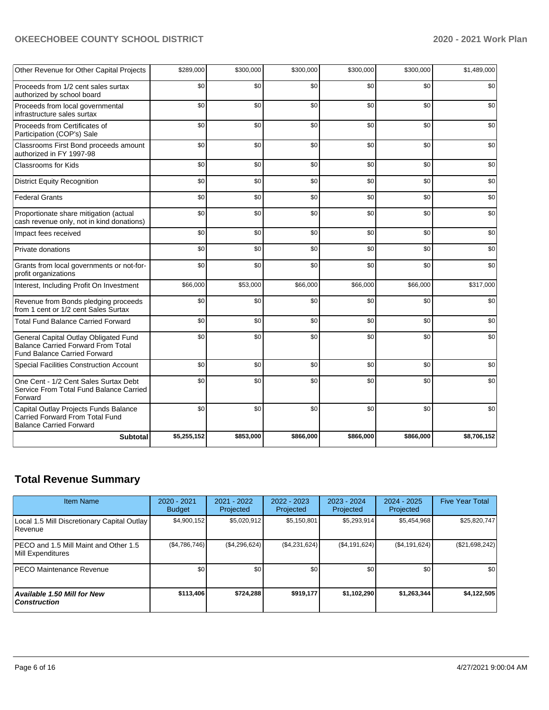| Other Revenue for Other Capital Projects                                                                                  | \$289,000   | \$300,000 | \$300,000 | \$300,000 | \$300,000 | \$1,489,000 |
|---------------------------------------------------------------------------------------------------------------------------|-------------|-----------|-----------|-----------|-----------|-------------|
| Proceeds from 1/2 cent sales surtax<br>authorized by school board                                                         | \$0         | \$0       | \$0       | \$0       | \$0       | \$0         |
| Proceeds from local governmental<br>infrastructure sales surtax                                                           | \$0         | \$0       | \$0       | \$0       | \$0       | \$0         |
| Proceeds from Certificates of<br>Participation (COP's) Sale                                                               | \$0         | \$0       | \$0       | \$0       | \$0       | \$0         |
| Classrooms First Bond proceeds amount<br>authorized in FY 1997-98                                                         | \$0         | \$0       | \$0       | \$0       | \$0       | \$0         |
| <b>Classrooms for Kids</b>                                                                                                | \$0         | \$0       | \$0       | \$0       | \$0       | \$0         |
| <b>District Equity Recognition</b>                                                                                        | \$0         | \$0       | \$0       | \$0       | \$0       | \$0         |
| <b>Federal Grants</b>                                                                                                     | \$0         | \$0       | \$0       | \$0       | \$0       | \$0         |
| Proportionate share mitigation (actual<br>cash revenue only, not in kind donations)                                       | \$0         | \$0       | \$0       | \$0       | \$0       | \$0         |
| Impact fees received                                                                                                      | \$0         | \$0       | \$0       | \$0       | \$0       | \$0         |
| Private donations                                                                                                         | \$0         | \$0       | \$0       | \$0       | \$0       | \$0         |
| Grants from local governments or not-for-<br>profit organizations                                                         | \$0         | \$0       | \$0       | \$0       | \$0       | \$0         |
| Interest, Including Profit On Investment                                                                                  | \$66,000    | \$53,000  | \$66,000  | \$66,000  | \$66,000  | \$317,000   |
| Revenue from Bonds pledging proceeds<br>from 1 cent or 1/2 cent Sales Surtax                                              | \$0         | \$0       | \$0       | \$0       | \$0       | \$0         |
| <b>Total Fund Balance Carried Forward</b>                                                                                 | \$0         | \$0       | \$0       | \$0       | \$0       | \$0         |
| General Capital Outlay Obligated Fund<br><b>Balance Carried Forward From Total</b><br><b>Fund Balance Carried Forward</b> | \$0         | \$0       | \$0       | \$0       | \$0       | \$0         |
| <b>Special Facilities Construction Account</b>                                                                            | \$0         | \$0       | \$0       | \$0       | \$0       | \$0         |
| One Cent - 1/2 Cent Sales Surtax Debt<br>Service From Total Fund Balance Carried<br>Forward                               | \$0         | \$0       | \$0       | \$0       | \$0       | \$0         |
| Capital Outlay Projects Funds Balance<br>Carried Forward From Total Fund<br><b>Balance Carried Forward</b>                | \$0         | \$0       | \$0       | \$0       | \$0       | \$0         |
| <b>Subtotal</b>                                                                                                           | \$5,255,152 | \$853,000 | \$866,000 | \$866,000 | \$866,000 | \$8,706,152 |

# **Total Revenue Summary**

| <b>Item Name</b>                                              | 2020 - 2021<br><b>Budget</b> | 2021 - 2022<br>Projected | $2022 - 2023$<br>Projected | 2023 - 2024<br>Projected | $2024 - 2025$<br>Projected | <b>Five Year Total</b> |
|---------------------------------------------------------------|------------------------------|--------------------------|----------------------------|--------------------------|----------------------------|------------------------|
| Local 1.5 Mill Discretionary Capital Outlay<br><b>Revenue</b> | \$4,900,152                  | \$5,020,912              | \$5,150,801                | \$5,293,914              | \$5,454,968                | \$25,820,747           |
| IPECO and 1.5 Mill Maint and Other 1.5<br>Mill Expenditures   | (\$4,786,746)                | (\$4,296,624)            | (\$4,231,624)              | (\$4,191,624)            | (\$4,191,624)              | (\$21,698,242)         |
| <b>PECO Maintenance Revenue</b>                               | \$0 <sub>1</sub>             | \$0 <sub>1</sub>         | \$0                        | \$0                      | \$0                        | \$0                    |
| <b>Available 1.50 Mill for New</b><br>  Construction          | \$113,406                    | \$724.288                | \$919.177                  | \$1,102,290              | \$1,263,344                | \$4,122,505            |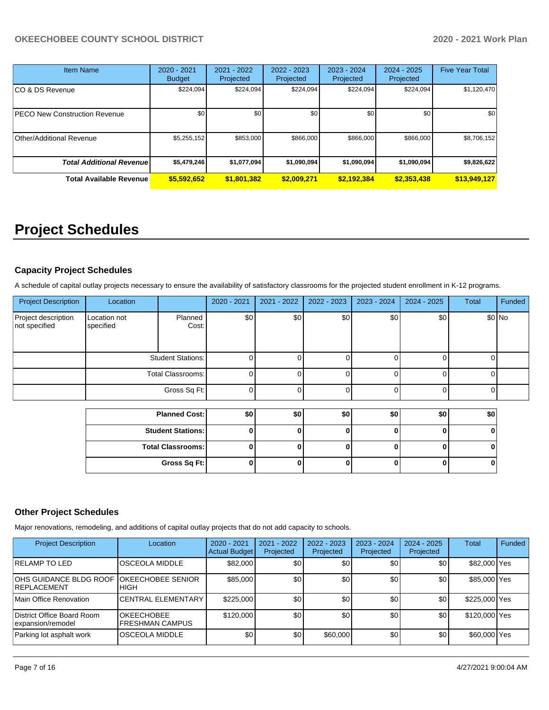| Item Name                        | 2020 - 2021<br><b>Budget</b> | 2021 - 2022<br>Projected | 2022 - 2023<br>Projected | 2023 - 2024<br>Projected | $2024 - 2025$<br>Projected | <b>Five Year Total</b> |
|----------------------------------|------------------------------|--------------------------|--------------------------|--------------------------|----------------------------|------------------------|
| CO & DS Revenue                  | \$224,094                    | \$224,094                | \$224.094                | \$224,094                | \$224,094                  | \$1,120,470            |
| PECO New Construction Revenue    | \$0                          | \$0                      | \$0                      | \$0                      | \$0                        | \$0                    |
| Other/Additional Revenue         | \$5,255,152                  | \$853,000                | \$866,000                | \$866,000                | \$866,000                  | \$8,706,152            |
| <b>Total Additional Revenuel</b> | \$5,479,246                  | \$1,077,094              | \$1,090,094              | \$1,090,094              | \$1,090,094                | \$9,826,622            |
| <b>Total Available Revenue</b>   | \$5,592,652                  | \$1,801,382              | \$2,009,271              | \$2,192,384              | \$2,353,438                | \$13,949,127           |

# **Project Schedules**

## **Capacity Project Schedules**

A schedule of capital outlay projects necessary to ensure the availability of satisfactory classrooms for the projected student enrollment in K-12 programs.

| <b>Project Description</b>           | Location                  |                          | 2020 - 2021    | $2021 - 2022$ | $2022 - 2023$ | 2023 - 2024 | 2024 - 2025 | Total | Funded  |
|--------------------------------------|---------------------------|--------------------------|----------------|---------------|---------------|-------------|-------------|-------|---------|
| Project description<br>not specified | Location not<br>specified | Planned<br>Cost:         | \$0            | \$0           | \$0           | \$0         | \$0         |       | $$0$ No |
|                                      |                           | <b>Student Stations:</b> | $\overline{0}$ |               |               |             |             |       |         |
|                                      | <b>Total Classrooms:</b>  | $\Omega$                 |                |               |               |             |             |       |         |
|                                      |                           | $\Omega$                 |                |               | ∩             | $\Omega$    |             |       |         |
|                                      |                           |                          |                |               |               |             |             |       |         |
|                                      |                           | <b>Planned Cost:</b>     | \$0            | \$0           | \$0           | \$0         | \$0         | \$0   |         |
|                                      |                           | <b>Student Stations:</b> | $\mathbf{0}$   |               |               |             |             |       |         |
|                                      |                           | <b>Total Classrooms:</b> | $\mathbf{0}$   |               |               | U           |             |       |         |
|                                      |                           | Gross Sq Ft:             | 0              |               |               | 0           | 0           |       |         |

## **Other Project Schedules**

Major renovations, remodeling, and additions of capital outlay projects that do not add capacity to schools.

| <b>Project Description</b>                                       | Location                                     | 2020 - 2021<br><b>Actual Budget</b> | 2021 - 2022<br>Projected | $2022 - 2023$<br>Projected | 2023 - 2024<br>Projected | $2024 - 2025$<br>Projected | <b>Total</b>  | Funded |
|------------------------------------------------------------------|----------------------------------------------|-------------------------------------|--------------------------|----------------------------|--------------------------|----------------------------|---------------|--------|
| IRELAMP TO LED                                                   | <b>OSCEOLA MIDDLE</b>                        | \$82,000                            | \$0                      | \$0                        | \$0                      | \$0                        | \$82,000 Yes  |        |
| OHS GUIDANCE BLDG ROOF JOKEECHOBEE SENIOR<br><b>IREPLACEMENT</b> | <b>IHIGH</b>                                 | \$85,000                            | \$0                      | \$0                        | \$0                      | \$0                        | \$85,000 Yes  |        |
| Main Office Renovation                                           | <b>ICENTRAL ELEMENTARY</b>                   | \$225,000                           | \$0                      | \$0                        | \$0                      | \$0                        | \$225,000 Yes |        |
| District Office Board Room<br>expansion/remodel                  | <b>OKEECHOBEE</b><br><b>IFRESHMAN CAMPUS</b> | \$120,000                           | \$0                      | \$0                        | \$0                      | \$0                        | \$120,000 Yes |        |
| Parking lot asphalt work                                         | <b>OSCEOLA MIDDLE</b>                        | \$0                                 | \$0                      | \$60,000                   | \$0                      | \$0                        | \$60,000 Yes  |        |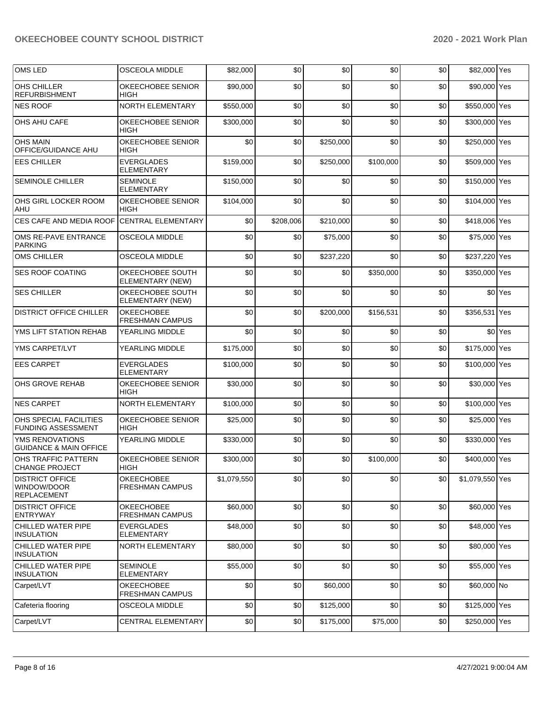| <b>OMS LED</b>                                              | OSCEOLA MIDDLE                         | \$82,000    | \$0       | \$0       | \$0       | \$0 | \$82,000 Yes    |                    |
|-------------------------------------------------------------|----------------------------------------|-------------|-----------|-----------|-----------|-----|-----------------|--------------------|
| OHS CHILLER<br><b>REFURBISHMENT</b>                         | OKEECHOBEE SENIOR<br>HIGH              | \$90,000    | \$0       | \$0       | \$0       | \$0 | \$90,000 Yes    |                    |
| <b>NES ROOF</b>                                             | <b>NORTH ELEMENTARY</b>                | \$550,000   | \$0       | \$0       | \$0       | \$0 | \$550,000 Yes   |                    |
| OHS AHU CAFE                                                | OKEECHOBEE SENIOR<br>HIGH              | \$300,000   | \$0       | \$0       | \$0       | \$0 | \$300,000 Yes   |                    |
| <b>OHS MAIN</b><br>OFFICE/GUIDANCE AHU                      | OKEECHOBEE SENIOR<br>HIGH              | \$0         | \$0       | \$250,000 | \$0       | \$0 | \$250,000 Yes   |                    |
| <b>EES CHILLER</b>                                          | <b>EVERGLADES</b><br><b>ELEMENTARY</b> | \$159,000   | \$0       | \$250,000 | \$100,000 | \$0 | \$509,000 Yes   |                    |
| <b>SEMINOLE CHILLER</b>                                     | <b>SEMINOLE</b><br><b>ELEMENTARY</b>   | \$150,000   | \$0       | \$0       | \$0       | \$0 | \$150,000 Yes   |                    |
| OHS GIRL LOCKER ROOM<br>AHU                                 | OKEECHOBEE SENIOR<br>HIGH              | \$104,000   | \$0       | \$0       | \$0       | \$0 | \$104,000 Yes   |                    |
| CES CAFE AND MEDIA ROOF                                     | <b>CENTRAL ELEMENTARY</b>              | \$0         | \$208,006 | \$210,000 | \$0       | \$0 | \$418,006 Yes   |                    |
| OMS RE-PAVE ENTRANCE<br><b>PARKING</b>                      | <b>OSCEOLA MIDDLE</b>                  | \$0         | \$0       | \$75,000  | \$0       | \$0 | \$75,000 Yes    |                    |
| <b>OMS CHILLER</b>                                          | <b>OSCEOLA MIDDLE</b>                  | \$0         | \$0       | \$237,220 | \$0       | \$0 | \$237,220 Yes   |                    |
| <b>SES ROOF COATING</b>                                     | OKEECHOBEE SOUTH<br>ELEMENTARY (NEW)   | \$0         | \$0       | \$0       | \$350,000 | \$0 | \$350,000 Yes   |                    |
| <b>SES CHILLER</b>                                          | OKEECHOBEE SOUTH<br>ELEMENTARY (NEW)   | \$0         | \$0       | \$0       | \$0       | \$0 |                 | \$0 <sup>Yes</sup> |
| <b>DISTRICT OFFICE CHILLER</b>                              | <b>OKEECHOBEE</b><br>FRESHMAN CAMPUS   | \$0         | \$0       | \$200,000 | \$156,531 | \$0 | \$356,531       | Yes                |
| YMS LIFT STATION REHAB                                      | YEARLING MIDDLE                        | \$0         | \$0       | \$0       | \$0       | \$0 |                 | \$0 Yes            |
| YMS CARPET/LVT                                              | YEARLING MIDDLE                        | \$175,000   | \$0       | \$0       | \$0       | \$0 | \$175,000 Yes   |                    |
| <b>EES CARPET</b>                                           | <b>EVERGLADES</b><br><b>ELEMENTARY</b> | \$100,000   | \$0       | \$0       | \$0       | \$0 | \$100,000 Yes   |                    |
| OHS GROVE REHAB                                             | OKEECHOBEE SENIOR<br>HIGH              | \$30,000    | \$0       | \$0       | \$0       | \$0 | \$30,000 Yes    |                    |
| <b>NES CARPET</b>                                           | <b>NORTH ELEMENTARY</b>                | \$100,000   | \$0       | \$0       | \$0       | \$0 | \$100,000 Yes   |                    |
| OHS SPECIAL FACILITIES<br><b>FUNDING ASSESSMENT</b>         | OKEECHOBEE SENIOR<br>HIGH              | \$25,000    | \$0       | \$0       | \$0       | \$0 | \$25,000 Yes    |                    |
| <b>YMS RENOVATIONS</b><br><b>GUIDANCE &amp; MAIN OFFICE</b> | YEARLING MIDDLE                        | \$330,000   | \$0       | \$0       | \$0       | \$0 | \$330,000 Yes   |                    |
| OHS TRAFFIC PATTERN<br><b>CHANGE PROJECT</b>                | OKEECHOBEE SENIOR<br>HIGH              | \$300,000   | \$0       | \$0       | \$100,000 | \$0 | \$400,000 Yes   |                    |
| <b>DISTRICT OFFICE</b><br>WINDOW/DOOR<br><b>REPLACEMENT</b> | <b>OKEECHOBEE</b><br>FRESHMAN CAMPUS   | \$1,079,550 | \$0       | \$0       | \$0       | \$0 | \$1,079,550 Yes |                    |
| <b>DISTRICT OFFICE</b><br><b>ENTRYWAY</b>                   | <b>OKEECHOBEE</b><br>FRESHMAN CAMPUS   | \$60,000    | \$0       | \$0       | \$0       | \$0 | \$60,000 Yes    |                    |
| CHILLED WATER PIPE<br><b>INSULATION</b>                     | EVERGLADES<br>ELEMENTARY               | \$48,000    | \$0       | \$0       | \$0       | \$0 | \$48,000 Yes    |                    |
| CHILLED WATER PIPE<br><b>INSULATION</b>                     | NORTH ELEMENTARY                       | \$80,000    | \$0       | \$0       | \$0       | \$0 | \$80,000 Yes    |                    |
| CHILLED WATER PIPE<br><b>INSULATION</b>                     | <b>SEMINOLE</b><br>ELEMENTARY          | \$55,000    | \$0       | \$0       | \$0       | \$0 | \$55,000 Yes    |                    |
| Carpet/LVT                                                  | <b>OKEECHOBEE</b><br>FRESHMAN CAMPUS   | \$0         | \$0       | \$60,000  | \$0       | \$0 | \$60,000 No     |                    |
| Cafeteria flooring                                          | <b>OSCEOLA MIDDLE</b>                  | \$0         | \$0       | \$125,000 | \$0       | \$0 | \$125,000 Yes   |                    |
| Carpet/LVT                                                  | CENTRAL ELEMENTARY                     | \$0         | \$0       | \$175,000 | \$75,000  | \$0 | \$250,000 Yes   |                    |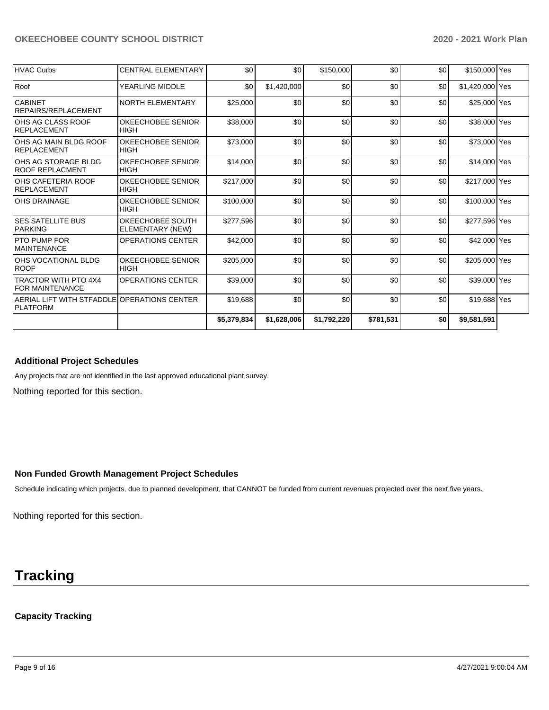| <b>HVAC Curbs</b>                                              | <b>CENTRAL ELEMENTARY</b>               | \$0         | \$0         | \$150,000   | \$0       | \$0 | \$150,000 Yes   |  |
|----------------------------------------------------------------|-----------------------------------------|-------------|-------------|-------------|-----------|-----|-----------------|--|
| Roof                                                           | YEARLING MIDDLE                         | \$0         | \$1,420,000 | \$0         | \$0       | \$0 | \$1,420,000 Yes |  |
| <b>CABINET</b><br><b>REPAIRS/REPLACEMENT</b>                   | NORTH ELEMENTARY                        | \$25,000    | \$0         | \$0         | \$0       | \$0 | \$25,000 Yes    |  |
| IOHS AG CLASS ROOF<br><b>REPLACEMENT</b>                       | OKEECHOBEE SENIOR<br><b>HIGH</b>        | \$38,000    | \$0         | \$0         | \$0       | \$0 | \$38,000 Yes    |  |
| OHS AG MAIN BLDG ROOF<br><b>IREPLACEMENT</b>                   | <b>OKEECHOBEE SENIOR</b><br><b>HIGH</b> | \$73,000    | \$0         | \$0         | \$0       | \$0 | \$73,000 Yes    |  |
| IOHS AG STORAGE BLDG<br><b>ROOF REPLACMENT</b>                 | <b>OKEECHOBEE SENIOR</b><br><b>HIGH</b> | \$14,000    | \$0         | \$0         | \$0       | \$0 | \$14,000 Yes    |  |
| OHS CAFETERIA ROOF<br><b>IREPLACEMENT</b>                      | <b>OKEECHOBEE SENIOR</b><br><b>HIGH</b> | \$217,000   | \$0         | \$0         | \$0       | \$0 | \$217,000 Yes   |  |
| <b>OHS DRAINAGE</b>                                            | OKEECHOBEE SENIOR<br><b>HIGH</b>        | \$100,000   | \$0         | \$0         | \$0       | \$0 | \$100,000 Yes   |  |
| <b>SES SATELLITE BUS</b><br>PARKING                            | OKEECHOBEE SOUTH<br>ELEMENTARY (NEW)    | \$277,596   | \$0         | \$0         | \$0       | \$0 | \$277,596 Yes   |  |
| <b>PTO PUMP FOR</b><br><b>MAINTENANCE</b>                      | <b>OPERATIONS CENTER</b>                | \$42,000    | \$0         | \$0         | \$0       | \$0 | \$42,000 Yes    |  |
| <b>OHS VOCATIONAL BLDG</b><br><b>ROOF</b>                      | OKEECHOBEE SENIOR<br><b>HIGH</b>        | \$205,000   | \$0         | \$0         | \$0       | \$0 | \$205,000 Yes   |  |
| <b>TRACTOR WITH PTO 4X4</b><br><b>FOR MAINTENANCE</b>          | <b>OPERATIONS CENTER</b>                | \$39,000    | \$0         | \$0         | \$0       | \$0 | \$39,000 Yes    |  |
| AERIAL LIFT WITH STFADDLE OPERATIONS CENTER<br><b>PLATFORM</b> |                                         | \$19,688    | \$0         | \$0         | \$0       | \$0 | \$19,688 Yes    |  |
|                                                                |                                         | \$5,379,834 | \$1,628,006 | \$1,792,220 | \$781,531 | \$0 | \$9,581,591     |  |

#### **Additional Project Schedules**

Any projects that are not identified in the last approved educational plant survey.

Nothing reported for this section.

#### **Non Funded Growth Management Project Schedules**

Schedule indicating which projects, due to planned development, that CANNOT be funded from current revenues projected over the next five years.

Nothing reported for this section.

# **Tracking**

### **Capacity Tracking**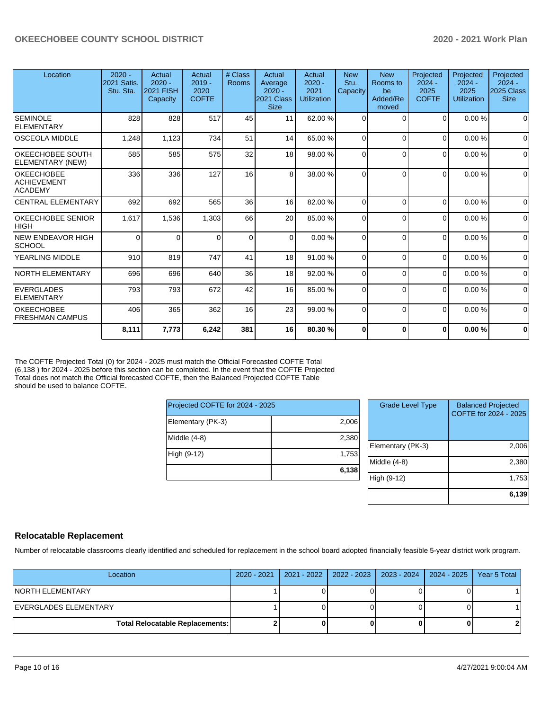| Location                                                  | $2020 -$<br>2021 Satis.<br>Stu. Sta. | Actual<br>$2020 -$<br><b>2021 FISH</b><br>Capacity | Actual<br>$2019 -$<br>2020<br><b>COFTE</b> | # Class<br>Rooms | Actual<br>Average<br>$2020 -$<br>2021 Class<br><b>Size</b> | Actual<br>$2020 -$<br>2021<br><b>Utilization</b> | <b>New</b><br>Stu.<br>Capacity | <b>New</b><br>Rooms to<br>be<br>Added/Re<br>moved | Projected<br>$2024 -$<br>2025<br><b>COFTE</b> | Projected<br>$2024 -$<br>2025<br><b>Utilization</b> | Projected<br>$2024 -$<br>2025 Class<br><b>Size</b> |
|-----------------------------------------------------------|--------------------------------------|----------------------------------------------------|--------------------------------------------|------------------|------------------------------------------------------------|--------------------------------------------------|--------------------------------|---------------------------------------------------|-----------------------------------------------|-----------------------------------------------------|----------------------------------------------------|
| <b>SEMINOLE</b><br><b>ELEMENTARY</b>                      | 828                                  | 828                                                | 517                                        | 45               | 11                                                         | 62.00%                                           | $\Omega$                       | $\Omega$                                          | $\Omega$                                      | 0.00%                                               | $\Omega$                                           |
| <b>OSCEOLA MIDDLE</b>                                     | 1,248                                | 1,123                                              | 734                                        | 51               | 14                                                         | 65.00 %                                          | $\Omega$                       | $\Omega$                                          | 0                                             | 0.00%                                               | $\Omega$                                           |
| OKEECHOBEE SOUTH<br>ELEMENTARY (NEW)                      | 585                                  | 585                                                | 575                                        | 32               | 18                                                         | 98.00 %                                          | $\Omega$                       | $\Omega$                                          | 0                                             | 0.00%                                               | $\Omega$                                           |
| <b>OKEECHOBEE</b><br><b>ACHIEVEMENT</b><br><b>ACADEMY</b> | 336                                  | 336                                                | 127                                        | 16               | 8                                                          | 38.00 %                                          | $\Omega$                       | $\Omega$                                          | $\Omega$                                      | 0.00%                                               | $\Omega$                                           |
| <b>CENTRAL ELEMENTARY</b>                                 | 692                                  | 692                                                | 565                                        | 36               | 16                                                         | 82.00 %                                          | $\Omega$                       | $\Omega$                                          | 0                                             | 0.00%                                               | $\Omega$                                           |
| <b>OKEECHOBEE SENIOR</b><br><b>HIGH</b>                   | 1,617                                | 1,536                                              | 1,303                                      | 66               | 20                                                         | 85.00 %                                          | $\Omega$                       | $\Omega$                                          | $\Omega$                                      | 0.00%                                               | $\mathbf 0$                                        |
| <b>NEW ENDEAVOR HIGH</b><br><b>SCHOOL</b>                 | $\Omega$                             | $\Omega$                                           | $\Omega$                                   | 0                | $\Omega$                                                   | 0.00%                                            | $\Omega$                       | $\Omega$                                          | $\Omega$                                      | 0.00%                                               | $\mathbf 0$                                        |
| YEARLING MIDDLE                                           | 910                                  | 819                                                | 747                                        | 41               | 18                                                         | 91.00 %                                          | $\Omega$                       | $\Omega$                                          | 0                                             | 0.00%                                               | $\Omega$                                           |
| <b>NORTH ELEMENTARY</b>                                   | 696                                  | 696                                                | 640                                        | 36               | 18                                                         | 92.00 %                                          | $\Omega$                       | $\Omega$                                          | 0                                             | 0.00%                                               | $\Omega$                                           |
| <b>EVERGLADES</b><br><b>ELEMENTARY</b>                    | 793                                  | 793                                                | 672                                        | 42               | 16                                                         | 85.00 %                                          | $\Omega$                       | $\Omega$                                          | 0                                             | 0.00%                                               | $\mathbf 0$                                        |
| <b>OKEECHOBEE</b><br><b>FRESHMAN CAMPUS</b>               | 406                                  | 365                                                | 362                                        | 16               | 23                                                         | 99.00 %                                          | $\Omega$                       | $\Omega$                                          | $\Omega$                                      | 0.00%                                               | $\Omega$                                           |
|                                                           | 8,111                                | 7,773                                              | 6,242                                      | 381              | 16                                                         | 80.30 %                                          | $\bf{0}$                       | $\mathbf{0}$                                      | $\bf{0}$                                      | 0.00%                                               | $\bf{0}$                                           |

The COFTE Projected Total (0) for 2024 - 2025 must match the Official Forecasted COFTE Total (6,138 ) for 2024 - 2025 before this section can be completed. In the event that the COFTE Projected Total does not match the Official forecasted COFTE, then the Balanced Projected COFTE Table should be used to balance COFTE.

| Projected COFTE for 2024 - 2025 |       |  |  |  |  |  |
|---------------------------------|-------|--|--|--|--|--|
| Elementary (PK-3)               | 2,006 |  |  |  |  |  |
| Middle (4-8)                    | 2,380 |  |  |  |  |  |
| High (9-12)                     | 1,753 |  |  |  |  |  |
|                                 | 6,138 |  |  |  |  |  |

| ĉ | <b>Grade Level Type</b> | <b>Balanced Projected</b><br>COFTE for 2024 - 2025 |
|---|-------------------------|----------------------------------------------------|
| 3 | Elementary (PK-3)       | 2,006                                              |
| 3 | Middle $(4-8)$          | 2,380                                              |
|   | High (9-12)             | 1,753                                              |
|   |                         | 6,139                                              |

# **Relocatable Replacement**

Number of relocatable classrooms clearly identified and scheduled for replacement in the school board adopted financially feasible 5-year district work program.

| Location                               | 2020 - 2021   2021 - 2022   2022 - 2023   2023 - 2024   2024 - 2025 |  | Year 5 Total |
|----------------------------------------|---------------------------------------------------------------------|--|--------------|
| INORTH ELEMENTARY                      |                                                                     |  |              |
| IEVERGLADES ELEMENTARY                 |                                                                     |  |              |
| <b>Total Relocatable Replacements:</b> |                                                                     |  |              |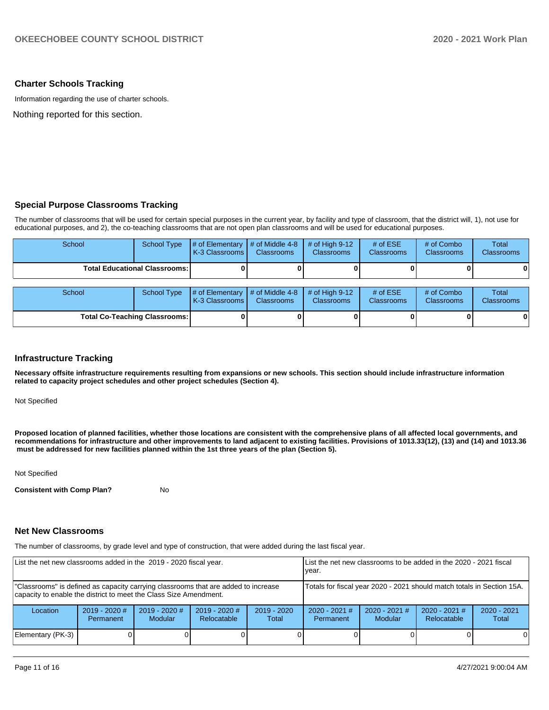#### **Charter Schools Tracking**

Information regarding the use of charter schools.

Nothing reported for this section.

#### **Special Purpose Classrooms Tracking**

The number of classrooms that will be used for certain special purposes in the current year, by facility and type of classroom, that the district will, 1), not use for educational purposes, and 2), the co-teaching classrooms that are not open plan classrooms and will be used for educational purposes.

| School<br>School Type                  |             | $\sharp$ of Elementary $\sharp$ of Middle 4-8<br><b>K-3 Classrooms I</b> | <b>Classrooms</b> | $#$ of High 9-12<br><b>Classrooms</b> | # of $ESE$<br><b>Classrooms</b> | # of Combo<br><b>Classrooms</b> | Total<br><b>Classrooms</b>        |
|----------------------------------------|-------------|--------------------------------------------------------------------------|-------------------|---------------------------------------|---------------------------------|---------------------------------|-----------------------------------|
| <b>Total Educational Classrooms: I</b> |             |                                                                          |                   |                                       |                                 | $\mathbf{0}$                    |                                   |
|                                        |             |                                                                          |                   |                                       |                                 |                                 |                                   |
| School                                 | School Type | $\#$ of Elementary $\#$ of Middle 4-8<br>K-3 Classrooms                  | <b>Classrooms</b> | $#$ of High 9-12<br><b>Classrooms</b> | # of $ESE$<br><b>Classrooms</b> | # of Combo<br><b>Classrooms</b> | <b>Total</b><br><b>Classrooms</b> |

**Total Co-Teaching Classrooms: 0 0 0 0 0 0**

| <b>Infrastructure Tracking</b> |  |
|--------------------------------|--|
|--------------------------------|--|

**Necessary offsite infrastructure requirements resulting from expansions or new schools. This section should include infrastructure information related to capacity project schedules and other project schedules (Section 4).** 

Not Specified

**Proposed location of planned facilities, whether those locations are consistent with the comprehensive plans of all affected local governments, and recommendations for infrastructure and other improvements to land adjacent to existing facilities. Provisions of 1013.33(12), (13) and (14) and 1013.36 must be addressed for new facilities planned within the 1st three years of the plan (Section 5).** 

Not Specified

**Consistent with Comp Plan?** No

#### **Net New Classrooms**

The number of classrooms, by grade level and type of construction, that were added during the last fiscal year.

| List the net new classrooms added in the 2019 - 2020 fiscal year.                                                                                       |                              |                                   |                                |                                                                        | List the net new classrooms to be added in the 2020 - 2021 fiscal<br>vear. |                        |  |          |
|---------------------------------------------------------------------------------------------------------------------------------------------------------|------------------------------|-----------------------------------|--------------------------------|------------------------------------------------------------------------|----------------------------------------------------------------------------|------------------------|--|----------|
| "Classrooms" is defined as capacity carrying classrooms that are added to increase<br>capacity to enable the district to meet the Class Size Amendment. |                              |                                   |                                | Totals for fiscal year 2020 - 2021 should match totals in Section 15A. |                                                                            |                        |  |          |
| Location                                                                                                                                                | $2019 - 2020$ #<br>Permanent | $2019 - 2020$ #<br><b>Modular</b> | $2019 - 2020$ #<br>Relocatable | $2019 - 2020$<br>Total                                                 | $2020 - 2021$ #<br><b>Permanent</b>                                        | $2020 - 2021$<br>Total |  |          |
| Elementary (PK-3)                                                                                                                                       |                              |                                   |                                |                                                                        |                                                                            |                        |  | $\Omega$ |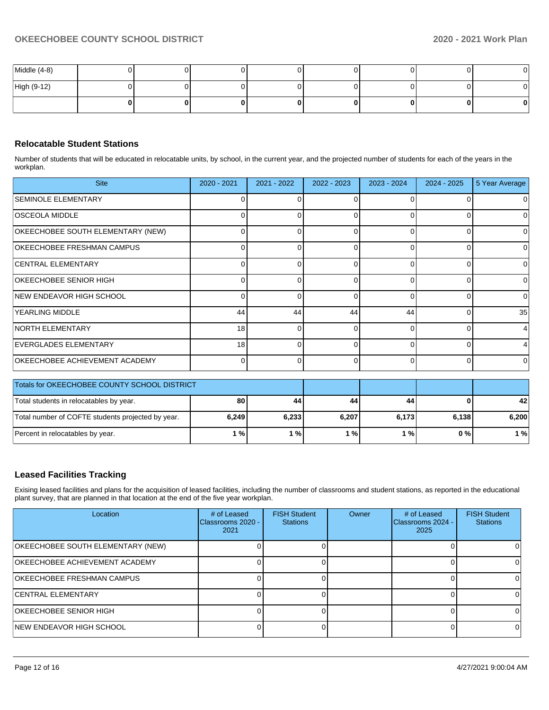| Middle (4-8) | .  |   |  | 01 |
|--------------|----|---|--|----|
| High (9-12)  |    |   |  | ΟI |
|              | 01 | n |  |    |

# **Relocatable Student Stations**

Number of students that will be educated in relocatable units, by school, in the current year, and the projected number of students for each of the years in the workplan.

| <b>Site</b>                                       | 2020 - 2021     | 2021 - 2022 | 2022 - 2023 | 2023 - 2024 | $2024 - 2025$ | 5 Year Average  |
|---------------------------------------------------|-----------------|-------------|-------------|-------------|---------------|-----------------|
| <b>SEMINOLE ELEMENTARY</b>                        | 0               | 0           | 0           | $\Omega$    |               | 0               |
| <b>OSCEOLA MIDDLE</b>                             | 0               | ი           | $\Omega$    | 0           | 0             | 0               |
| OKEECHOBEE SOUTH ELEMENTARY (NEW)                 | 0               | n           | 0           | $\Omega$    | U             | $\Omega$        |
| <b>OKEECHOBEE FRESHMAN CAMPUS</b>                 | 0               | 0           | 0           | 0           | 0             | $\Omega$        |
| <b>CENTRAL ELEMENTARY</b>                         | $\Omega$        | 0           | 0           | $\Omega$    | 0             | 0               |
| OKEECHOBEE SENIOR HIGH                            | $\Omega$        | 0           | 0           | $\Omega$    | $\Omega$      | $\Omega$        |
| INEW ENDEAVOR HIGH SCHOOL                         | $\Omega$        | U           | $\Omega$    | $\Omega$    | $\Omega$      | 0               |
| YEARLING MIDDLE                                   | 44              | 44          | 44          | 44          | 0             | 35              |
| NORTH ELEMENTARY                                  | 18 <sup>1</sup> | 0           | 0           | $\Omega$    | 0             | $\overline{4}$  |
| <b>IEVERGLADES ELEMENTARY</b>                     | 18              | U           | $\Omega$    | $\Omega$    | $\Omega$      | $\vert 4 \vert$ |
| OKEECHOBEE ACHIEVEMENT ACADEMY                    | 0               | $\Omega$    | $\Omega$    | $\Omega$    | $\Omega$      | $\overline{0}$  |
|                                                   |                 |             |             |             |               |                 |
| Totals for OKEECHOBEE COUNTY SCHOOL DISTRICT      |                 |             |             |             |               |                 |
| Total students in relocatables by year.           | 80              | 44          | 44          | 44          | $\bf{0}$      | 42              |
| Total number of COFTE students projected by year. | 6,249           | 6,233       | 6,207       | 6,173       | 6,138         | 6,200           |
| Percent in relocatables by year.                  | 1%              | 1%          | 1%          | 1%          | 0%            | 1%              |

#### **Leased Facilities Tracking**

Exising leased facilities and plans for the acquisition of leased facilities, including the number of classrooms and student stations, as reported in the educational plant survey, that are planned in that location at the end of the five year workplan.

| Location                          | # of Leased<br>Classrooms 2020 -<br>2021 | <b>FISH Student</b><br><b>Stations</b> | <b>Owner</b> | # of Leased<br>Classrooms 2024 -<br>2025 | <b>FISH Student</b><br><b>Stations</b> |
|-----------------------------------|------------------------------------------|----------------------------------------|--------------|------------------------------------------|----------------------------------------|
| OKEECHOBEE SOUTH ELEMENTARY (NEW) |                                          |                                        |              |                                          |                                        |
| OKEECHOBEE ACHIEVEMENT ACADEMY    |                                          |                                        |              |                                          |                                        |
| OKEECHOBEE FRESHMAN CAMPUS        |                                          |                                        |              |                                          |                                        |
| <b>ICENTRAL ELEMENTARY</b>        |                                          |                                        |              |                                          |                                        |
| OKEECHOBEE SENIOR HIGH            |                                          |                                        |              |                                          |                                        |
| INEW ENDEAVOR HIGH SCHOOL         |                                          |                                        |              |                                          |                                        |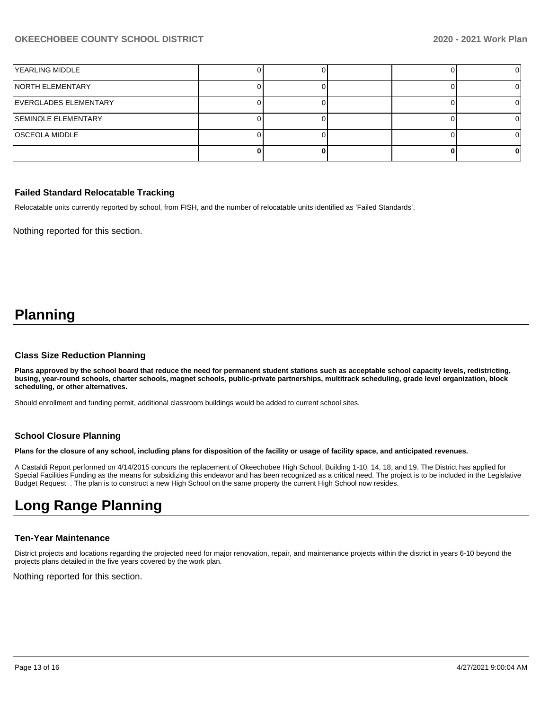| <b>YEARLING MIDDLE</b>     |  |  |  |
|----------------------------|--|--|--|
| <b>NORTH ELEMENTARY</b>    |  |  |  |
| EVERGLADES ELEMENTARY      |  |  |  |
| <b>SEMINOLE ELEMENTARY</b> |  |  |  |
| <b>OSCEOLA MIDDLE</b>      |  |  |  |
|                            |  |  |  |

#### **Failed Standard Relocatable Tracking**

Relocatable units currently reported by school, from FISH, and the number of relocatable units identified as 'Failed Standards'.

Nothing reported for this section.

# **Planning**

#### **Class Size Reduction Planning**

**Plans approved by the school board that reduce the need for permanent student stations such as acceptable school capacity levels, redistricting, busing, year-round schools, charter schools, magnet schools, public-private partnerships, multitrack scheduling, grade level organization, block scheduling, or other alternatives.**

Should enrollment and funding permit, additional classroom buildings would be added to current school sites.

#### **School Closure Planning**

**Plans for the closure of any school, including plans for disposition of the facility or usage of facility space, and anticipated revenues.** 

A Castaldi Report performed on 4/14/2015 concurs the replacement of Okeechobee High School, Building 1-10, 14, 18, and 19. The District has applied for Special Facilities Funding as the means for subsidizing this endeavor and has been recognized as a critical need. The project is to be included in the Legislative Budget Request . The plan is to construct a new High School on the same property the current High School now resides.

# **Long Range Planning**

#### **Ten-Year Maintenance**

District projects and locations regarding the projected need for major renovation, repair, and maintenance projects within the district in years 6-10 beyond the projects plans detailed in the five years covered by the work plan.

Nothing reported for this section.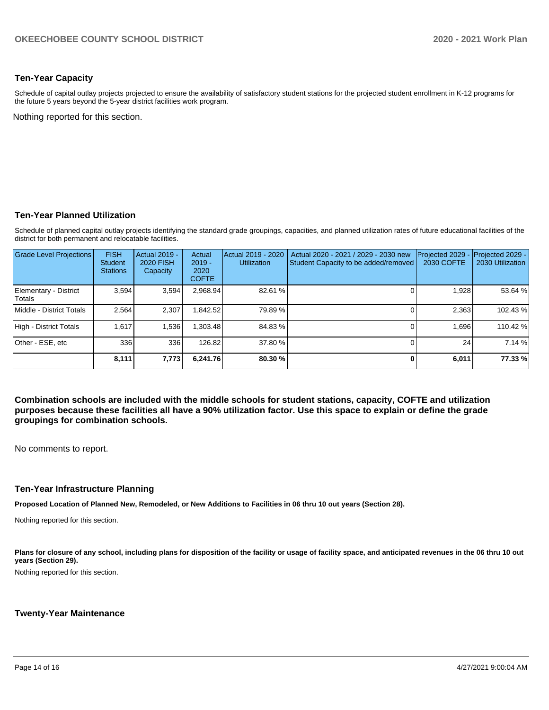#### **Ten-Year Capacity**

Schedule of capital outlay projects projected to ensure the availability of satisfactory student stations for the projected student enrollment in K-12 programs for the future 5 years beyond the 5-year district facilities work program.

Nothing reported for this section.

#### **Ten-Year Planned Utilization**

Schedule of planned capital outlay projects identifying the standard grade groupings, capacities, and planned utilization rates of future educational facilities of the district for both permanent and relocatable facilities.

| <b>Grade Level Projections</b>   | <b>FISH</b><br><b>Student</b><br><b>Stations</b> | <b>Actual 2019 -</b><br><b>2020 FISH</b><br>Capacity | Actual<br>$2019 -$<br>2020<br><b>COFTE</b> | Actual 2019 - 2020<br><b>Utilization</b> | Actual 2020 - 2021 / 2029 - 2030 new<br>Student Capacity to be added/removed | Projected 2029<br>2030 COFTE | Projected 2029 -<br>2030 Utilization |
|----------------------------------|--------------------------------------------------|------------------------------------------------------|--------------------------------------------|------------------------------------------|------------------------------------------------------------------------------|------------------------------|--------------------------------------|
| Elementary - District<br> Totals | 3.594                                            | 3,594                                                | 2,968.94                                   | 82.61 %                                  |                                                                              | 1,928                        | 53.64 %                              |
| Middle - District Totals         | 2.564                                            | 2.307                                                | .842.52                                    | 79.89 %                                  |                                                                              | 2.363                        | 102.43%                              |
| High - District Totals           | 1.617                                            | 1,536                                                | ,303.48                                    | 84.83%                                   |                                                                              | 1.696                        | 110.42 %                             |
| Other - ESE, etc                 | 336                                              | 336                                                  | 126.82                                     | 37.80 %                                  |                                                                              | 24                           | 7.14 %                               |
|                                  | 8,111                                            | 7,773                                                | 6,241.76                                   | 80.30 %                                  |                                                                              | 6,011                        | 77.33 %                              |

**Combination schools are included with the middle schools for student stations, capacity, COFTE and utilization purposes because these facilities all have a 90% utilization factor. Use this space to explain or define the grade groupings for combination schools.** 

No comments to report.

#### **Ten-Year Infrastructure Planning**

**Proposed Location of Planned New, Remodeled, or New Additions to Facilities in 06 thru 10 out years (Section 28).**

Nothing reported for this section.

Plans for closure of any school, including plans for disposition of the facility or usage of facility space, and anticipated revenues in the 06 thru 10 out **years (Section 29).**

Nothing reported for this section.

#### **Twenty-Year Maintenance**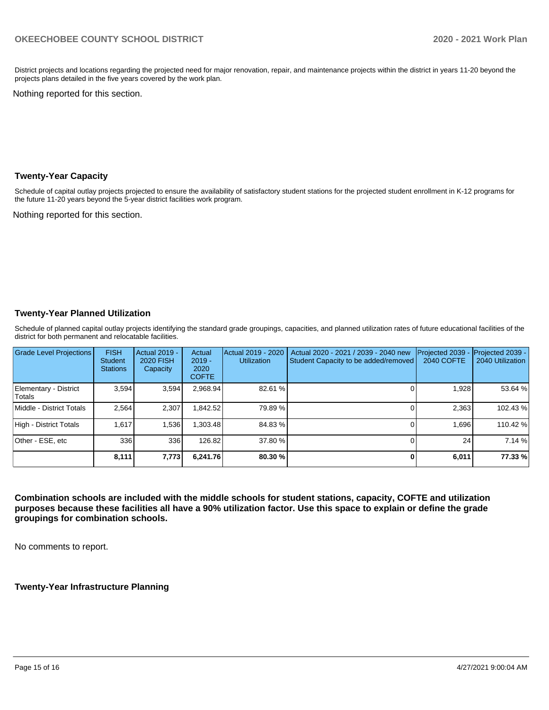District projects and locations regarding the projected need for major renovation, repair, and maintenance projects within the district in years 11-20 beyond the projects plans detailed in the five years covered by the work plan.

Nothing reported for this section.

#### **Twenty-Year Capacity**

Schedule of capital outlay projects projected to ensure the availability of satisfactory student stations for the projected student enrollment in K-12 programs for the future 11-20 years beyond the 5-year district facilities work program.

Nothing reported for this section.

#### **Twenty-Year Planned Utilization**

Schedule of planned capital outlay projects identifying the standard grade groupings, capacities, and planned utilization rates of future educational facilities of the district for both permanent and relocatable facilities.

| Grade Level Projections         | <b>FISH</b><br><b>Student</b><br><b>Stations</b> | Actual 2019 -<br><b>2020 FISH</b><br>Capacity | Actual<br>$2019 -$<br>2020<br><b>COFTE</b> | Actual 2019 - 2020<br><b>Utilization</b> | Actual 2020 - 2021 / 2039 - 2040 new<br>Student Capacity to be added/removed | Projected 2039<br><b>2040 COFTE</b> | Projected 2039 -<br>2040 Utilization |
|---------------------------------|--------------------------------------------------|-----------------------------------------------|--------------------------------------------|------------------------------------------|------------------------------------------------------------------------------|-------------------------------------|--------------------------------------|
| Elementary - District<br>Totals | 3.594                                            | 3,594                                         | 2.968.94                                   | 82.61 %                                  |                                                                              | 1.928                               | 53.64 %                              |
| Middle - District Totals        | 2.564                                            | 2.307                                         | .842.52                                    | 79.89 %                                  |                                                                              | 2,363                               | 102.43%                              |
| High - District Totals          | 1.617                                            | 1,536                                         | 1.303.48                                   | 84.83%                                   |                                                                              | 1.696                               | 110.42 %                             |
| Other - ESE, etc                | 336                                              | 336                                           | 126.82                                     | 37.80 %                                  |                                                                              | 24                                  | 7.14 %                               |
|                                 | 8,111                                            | 7,773                                         | 6,241.76                                   | 80.30 %                                  |                                                                              | 6,011                               | 77.33 %                              |

**Combination schools are included with the middle schools for student stations, capacity, COFTE and utilization purposes because these facilities all have a 90% utilization factor. Use this space to explain or define the grade groupings for combination schools.** 

No comments to report.

**Twenty-Year Infrastructure Planning**